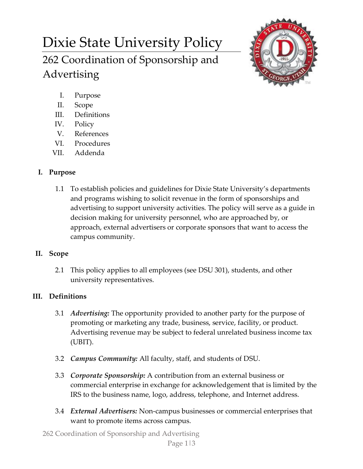# Dixie State University Policy 262 Coordination of Sponsorship and Advertising



- I. Purpose
- II. Scope
- III. Definitions
- IV. Policy
- V. References
- VI. Procedures
- VII. Addenda

# **I. Purpose**

1.1 To establish policies and guidelines for Dixie State University's departments and programs wishing to solicit revenue in the form of sponsorships and advertising to support university activities. The policy will serve as a guide in decision making for university personnel, who are approached by, or approach, external advertisers or corporate sponsors that want to access the campus community.

# **II. Scope**

2.1 This policy applies to all employees (see DSU 301), students, and other university representatives.

# **III. Definitions**

- 3.1 *Advertising:* The opportunity provided to another party for the purpose of promoting or marketing any trade, business, service, facility, or product. Advertising revenue may be subject to federal unrelated business income tax (UBIT).
- 3.2 *Campus Community:* All faculty, staff, and students of DSU.
- 3.3 *Corporate Sponsorship:* A contribution from an external business or commercial enterprise in exchange for acknowledgement that is limited by the IRS to the business name, logo, address, telephone, and Internet address.
- 3.4 *External Advertisers:* Non-campus businesses or commercial enterprises that want to promote items across campus.

262 Coordination of Sponsorship and Advertising Page 1|3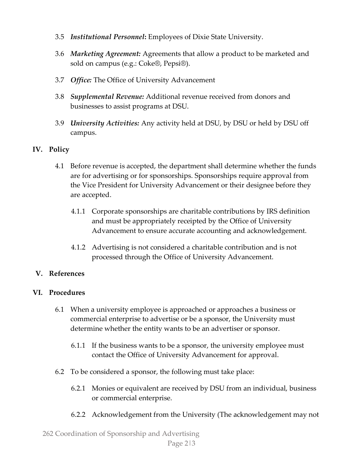- 3.5 *Institutional Personnel***:** Employees of Dixie State University.
- 3.6 *Marketing Agreement:* Agreements that allow a product to be marketed and sold on campus (e.g.: Coke®, Pepsi®).
- 3.7 *Office:* The Office of University Advancement
- 3.8 *Supplemental Revenue:* Additional revenue received from donors and businesses to assist programs at DSU.
- 3.9 *University Activities:* Any activity held at DSU, by DSU or held by DSU off campus.

## **IV. Policy**

- 4.1 Before revenue is accepted, the department shall determine whether the funds are for advertising or for sponsorships. Sponsorships require approval from the Vice President for University Advancement or their designee before they are accepted.
	- 4.1.1 Corporate sponsorships are charitable contributions by IRS definition and must be appropriately receipted by the Office of University Advancement to ensure accurate accounting and acknowledgement.
	- 4.1.2 Advertising is not considered a charitable contribution and is not processed through the Office of University Advancement.

## **V. References**

#### **VI. Procedures**

- 6.1 When a university employee is approached or approaches a business or commercial enterprise to advertise or be a sponsor, the University must determine whether the entity wants to be an advertiser or sponsor.
	- 6.1.1 If the business wants to be a sponsor, the university employee must contact the Office of University Advancement for approval.
- 6.2 To be considered a sponsor, the following must take place:
	- 6.2.1 Monies or equivalent are received by DSU from an individual, business or commercial enterprise.
	- 6.2.2 Acknowledgement from the University (The acknowledgement may not